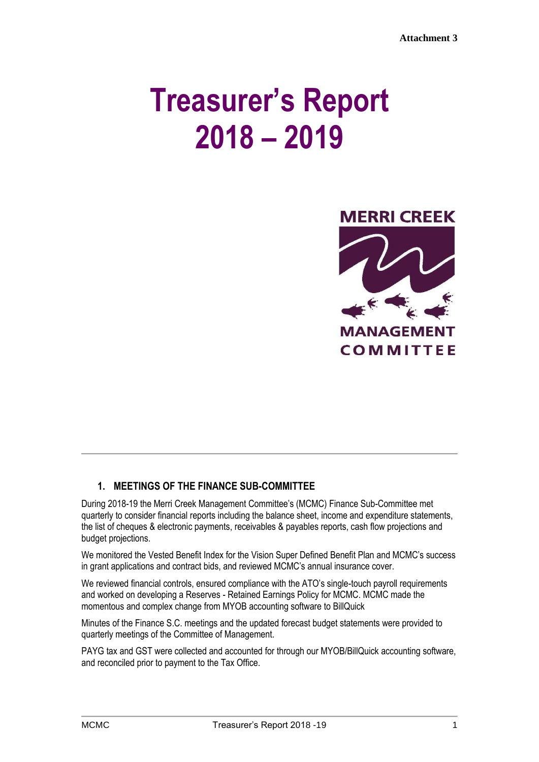# **Treasurer's Report 2018 – 2019**



## **1. MEETINGS OF THE FINANCE SUB-COMMITTEE**

During 2018-19 the Merri Creek Management Committee's (MCMC) Finance Sub-Committee met quarterly to consider financial reports including the balance sheet, income and expenditure statements, the list of cheques & electronic payments, receivables & payables reports, cash flow projections and budget projections.

We monitored the Vested Benefit Index for the Vision Super Defined Benefit Plan and MCMC's success in grant applications and contract bids, and reviewed MCMC's annual insurance cover.

We reviewed financial controls, ensured compliance with the ATO's single-touch payroll requirements and worked on developing a Reserves - Retained Earnings Policy for MCMC. MCMC made the momentous and complex change from MYOB accounting software to BillQuick

Minutes of the Finance S.C. meetings and the updated forecast budget statements were provided to quarterly meetings of the Committee of Management.

PAYG tax and GST were collected and accounted for through our MYOB/BillQuick accounting software, and reconciled prior to payment to the Tax Office.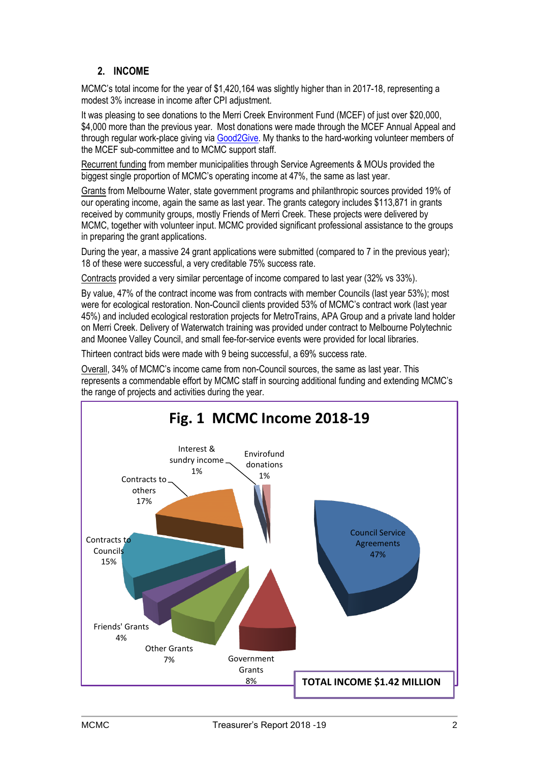# **2. INCOME**

MCMC's total income for the year of \$1,420,164 was slightly higher than in 2017-18, representing a modest 3% increase in income after CPI adjustment.

It was pleasing to see donations to the Merri Creek Environment Fund (MCEF) of just over \$20,000, \$4,000 more than the previous year. Most donations were made through the MCEF Annual Appeal and through regular work-place giving via [Good2Give.](https://good2give.ngo/) My thanks to the hard-working volunteer members of the MCEF sub-committee and to MCMC support staff.

Recurrent funding from member municipalities through Service Agreements & MOUs provided the biggest single proportion of MCMC's operating income at 47%, the same as last year.

Grants from Melbourne Water, state government programs and philanthropic sources provided 19% of our operating income, again the same as last year. The grants category includes \$113,871 in grants received by community groups, mostly Friends of Merri Creek. These projects were delivered by MCMC, together with volunteer input. MCMC provided significant professional assistance to the groups in preparing the grant applications.

During the year, a massive 24 grant applications were submitted (compared to 7 in the previous year); 18 of these were successful, a very creditable 75% success rate.

Contracts provided a very similar percentage of income compared to last year (32% vs 33%).

By value, 47% of the contract income was from contracts with member Councils (last year 53%); most were for ecological restoration. Non-Council clients provided 53% of MCMC's contract work (last year 45%) and included ecological restoration projects for MetroTrains, APA Group and a private land holder on Merri Creek. Delivery of Waterwatch training was provided under contract to Melbourne Polytechnic and Moonee Valley Council, and small fee-for-service events were provided for local libraries.

Thirteen contract bids were made with 9 being successful, a 69% success rate.

Overall, 34% of MCMC's income came from non-Council sources, the same as last year. This represents a commendable effort by MCMC staff in sourcing additional funding and extending MCMC's the range of projects and activities during the year.

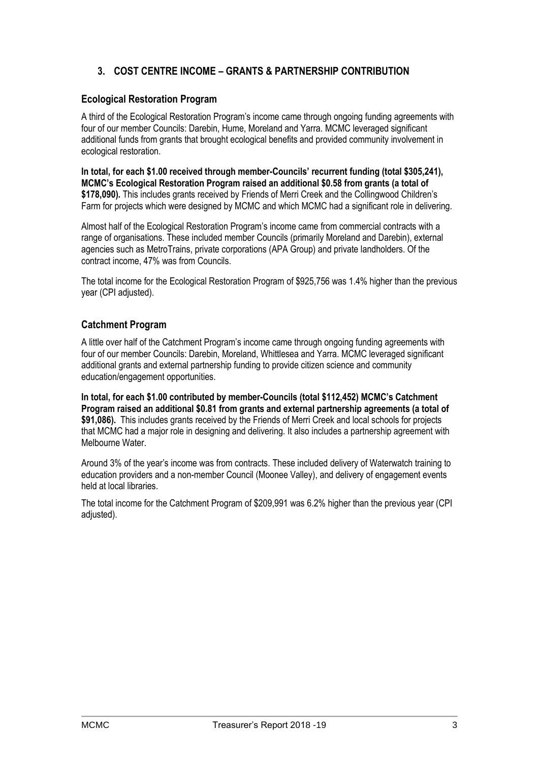## **3. COST CENTRE INCOME – GRANTS & PARTNERSHIP CONTRIBUTION**

#### **Ecological Restoration Program**

A third of the Ecological Restoration Program's income came through ongoing funding agreements with four of our member Councils: Darebin, Hume, Moreland and Yarra. MCMC leveraged significant additional funds from grants that brought ecological benefits and provided community involvement in ecological restoration.

**In total, for each \$1.00 received through member-Councils' recurrent funding (total \$305,241), MCMC's Ecological Restoration Program raised an additional \$0.58 from grants (a total of \$178,090).** This includes grants received by Friends of Merri Creek and the Collingwood Children's Farm for projects which were designed by MCMC and which MCMC had a significant role in delivering.

Almost half of the Ecological Restoration Program's income came from commercial contracts with a range of organisations. These included member Councils (primarily Moreland and Darebin), external agencies such as MetroTrains, private corporations (APA Group) and private landholders. Of the contract income, 47% was from Councils.

The total income for the Ecological Restoration Program of \$925,756 was 1.4% higher than the previous year (CPI adjusted).

#### **Catchment Program**

A little over half of the Catchment Program's income came through ongoing funding agreements with four of our member Councils: Darebin, Moreland, Whittlesea and Yarra. MCMC leveraged significant additional grants and external partnership funding to provide citizen science and community education/engagement opportunities.

**In total, for each \$1.00 contributed by member-Councils (total \$112,452) MCMC's Catchment Program raised an additional \$0.81 from grants and external partnership agreements (a total of \$91,086).** This includes grants received by the Friends of Merri Creek and local schools for projects that MCMC had a major role in designing and delivering. It also includes a partnership agreement with Melbourne Water.

Around 3% of the year's income was from contracts. These included delivery of Waterwatch training to education providers and a non-member Council (Moonee Valley), and delivery of engagement events held at local libraries.

The total income for the Catchment Program of \$209,991 was 6.2% higher than the previous year (CPI adiusted).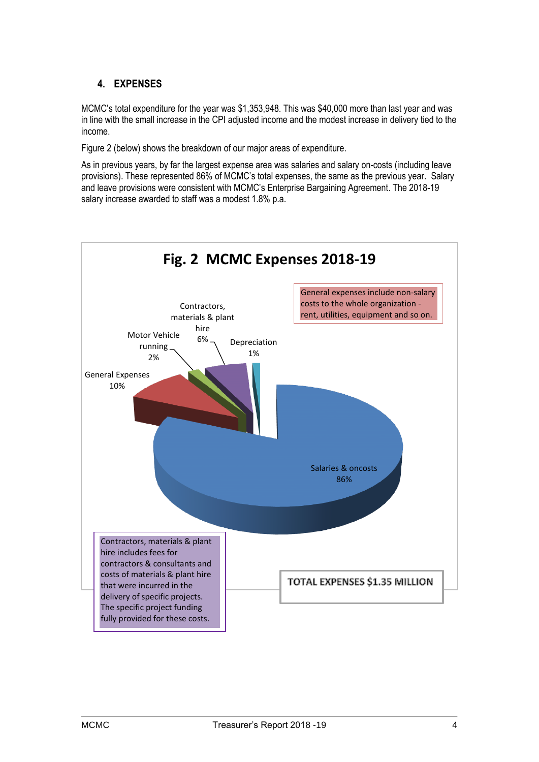## **4. EXPENSES**

MCMC's total expenditure for the year was \$1,353,948. This was \$40,000 more than last year and was in line with the small increase in the CPI adjusted income and the modest increase in delivery tied to the income.

Figure 2 (below) shows the breakdown of our major areas of expenditure.

As in previous years, by far the largest expense area was salaries and salary on-costs (including leave provisions). These represented 86% of MCMC's total expenses, the same as the previous year. Salary and leave provisions were consistent with MCMC's Enterprise Bargaining Agreement. The 2018-19 salary increase awarded to staff was a modest 1.8% p.a.

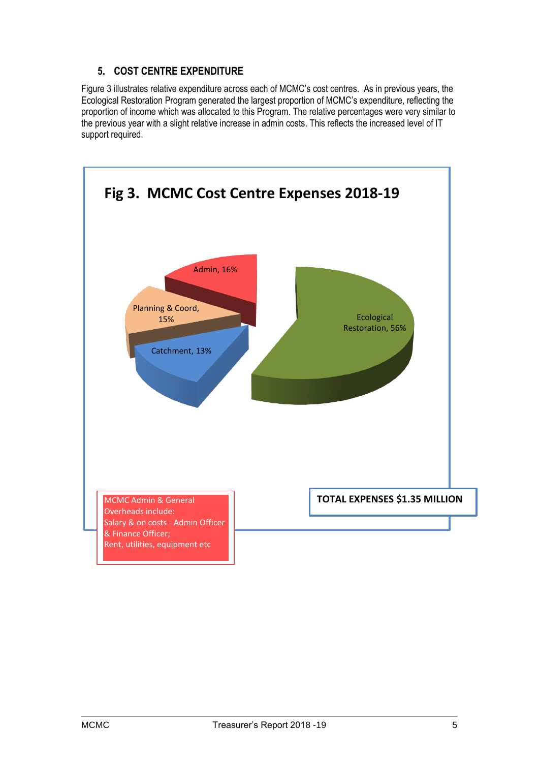#### **5. COST CENTRE EXPENDITURE**

Figure 3 illustrates relative expenditure across each of MCMC's cost centres. As in previous years, the Ecological Restoration Program generated the largest proportion of MCMC's expenditure, reflecting the proportion of income which was allocated to this Program. The relative percentages were very similar to the previous year with a slight relative increase in admin costs. This reflects the increased level of IT support required.